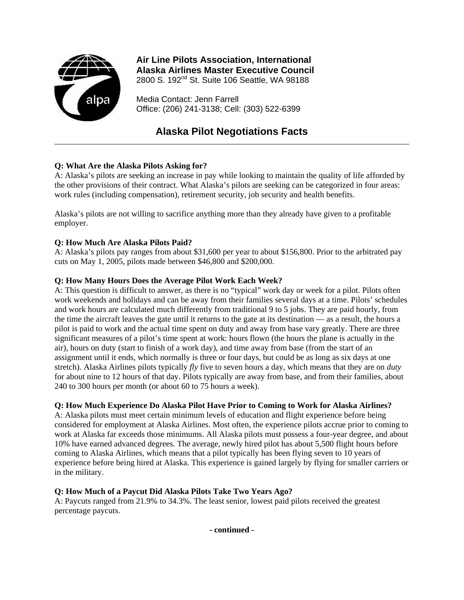

## **Air Line Pilots Association, International Alaska Airlines Master Executive Council**

2800 S. 192<sup>nd</sup> St. Suite 106 Seattle, WA 98188

Media Contact: Jenn Farrell Office: (206) 241-3138; Cell: (303) 522-6399

# **Alaska Pilot Negotiations Facts**

## **Q: What Are the Alaska Pilots Asking for?**

A: Alaska's pilots are seeking an increase in pay while looking to maintain the quality of life afforded by the other provisions of their contract. What Alaska's pilots are seeking can be categorized in four areas: work rules (including compensation), retirement security, job security and health benefits.

Alaska's pilots are not willing to sacrifice anything more than they already have given to a profitable employer.

#### **Q: How Much Are Alaska Pilots Paid?**

A: Alaska's pilots pay ranges from about \$31,600 per year to about \$156,800. Prior to the arbitrated pay cuts on May 1, 2005, pilots made between \$46,800 and \$200,000.

#### **Q: How Many Hours Does the Average Pilot Work Each Week?**

A: This question is difficult to answer, as there is no "typical" work day or week for a pilot. Pilots often work weekends and holidays and can be away from their families several days at a time. Pilots' schedules and work hours are calculated much differently from traditional 9 to 5 jobs. They are paid hourly, from the time the aircraft leaves the gate until it returns to the gate at its destination — as a result, the hours a pilot is paid to work and the actual time spent on duty and away from base vary greatly. There are three significant measures of a pilot's time spent at work: hours flown (the hours the plane is actually in the air), hours on duty (start to finish of a work day), and time away from base (from the start of an assignment until it ends, which normally is three or four days, but could be as long as six days at one stretch). Alaska Airlines pilots typically *fly* five to seven hours a day, which means that they are on *duty* for about nine to 12 hours of that day. Pilots typically are away from base, and from their families, about 240 to 300 hours per month (or about 60 to 75 hours a week).

#### **Q: How Much Experience Do Alaska Pilot Have Prior to Coming to Work for Alaska Airlines?**

A: Alaska pilots must meet certain minimum levels of education and flight experience before being considered for employment at Alaska Airlines. Most often, the experience pilots accrue prior to coming to work at Alaska far exceeds those minimums. All Alaska pilots must possess a four-year degree, and about 10% have earned advanced degrees. The average, newly hired pilot has about 5,500 flight hours before coming to Alaska Airlines, which means that a pilot typically has been flying seven to 10 years of experience before being hired at Alaska. This experience is gained largely by flying for smaller carriers or in the military.

### **Q: How Much of a Paycut Did Alaska Pilots Take Two Years Ago?**

A: Paycuts ranged from 21.9% to 34.3%. The least senior, lowest paid pilots received the greatest percentage paycuts.

**- continued -**